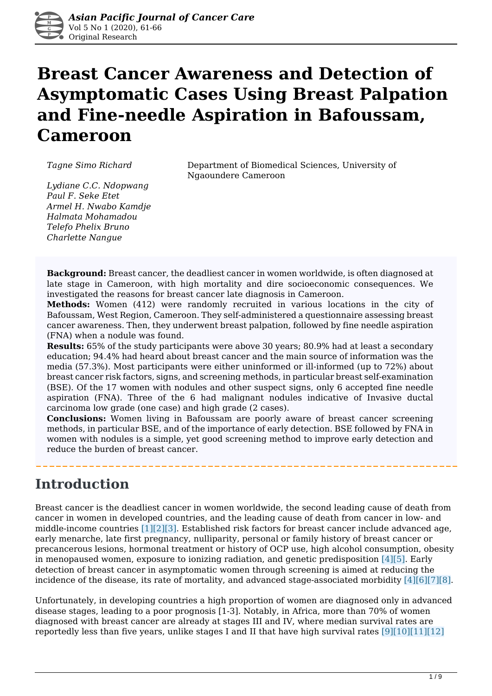

# **Breast Cancer Awareness and Detection of Asymptomatic Cases Using Breast Palpation and Fine-needle Aspiration in Bafoussam, Cameroon**

*Tagne Simo Richard* Department of Biomedical Sciences, University of Ngaoundere Cameroon

*Lydiane C.C. Ndopwang Paul F. Seke Etet Armel H. Nwabo Kamdje Halmata Mohamadou Telefo Phelix Bruno Charlette Nangue*

**Background:** Breast cancer, the deadliest cancer in women worldwide, is often diagnosed at late stage in Cameroon, with high mortality and dire socioeconomic consequences. We investigated the reasons for breast cancer late diagnosis in Cameroon.

**Methods:** Women (412) were randomly recruited in various locations in the city of Bafoussam, West Region, Cameroon. They self-administered a questionnaire assessing breast cancer awareness. Then, they underwent breast palpation, followed by fine needle aspiration (FNA) when a nodule was found.

**Results:** 65% of the study participants were above 30 years; 80.9% had at least a secondary education; 94.4% had heard about breast cancer and the main source of information was the media (57.3%). Most participants were either uninformed or ill-informed (up to 72%) about breast cancer risk factors, signs, and screening methods, in particular breast self-examination (BSE). Of the 17 women with nodules and other suspect signs, only 6 accepted fine needle aspiration (FNA). Three of the 6 had malignant nodules indicative of Invasive ductal carcinoma low grade (one case) and high grade (2 cases).

**Conclusions:** Women living in Bafoussam are poorly aware of breast cancer screening methods, in particular BSE, and of the importance of early detection. BSE followed by FNA in women with nodules is a simple, yet good screening method to improve early detection and reduce the burden of breast cancer.

## **Introduction**

Breast cancer is the deadliest cancer in women worldwide, the second leading cause of death from cancer in women in developed countries, and the leading cause of death from cancer in low- and middle-income countries [1][2][3]. Established risk factors for breast cancer include advanced age, early menarche, late first pregnancy, nulliparity, personal or family history of breast cancer or precancerous lesions, hormonal treatment or history of OCP use, high alcohol consumption, obesity in menopaused women, exposure to ionizing radiation, and genetic predisposition [4][5]. Early detection of breast cancer in asymptomatic women through screening is aimed at reducing the incidence of the disease, its rate of mortality, and advanced stage-associated morbidity [4][6][7][8].

Unfortunately, in developing countries a high proportion of women are diagnosed only in advanced disease stages, leading to a poor prognosis [1-3]. Notably, in Africa, more than 70% of women diagnosed with breast cancer are already at stages III and IV, where median survival rates are reportedly less than five years, unlike stages I and II that have high survival rates  $[9][10][11][12]$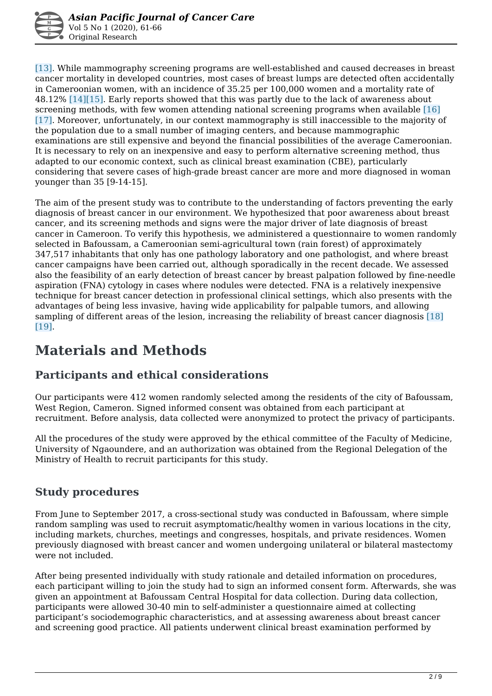[13]. While mammography screening programs are well-established and caused decreases in breast cancer mortality in developed countries, most cases of breast lumps are detected often accidentally in Cameroonian women, with an incidence of 35.25 per 100,000 women and a mortality rate of 48.12% [14][15]. Early reports showed that this was partly due to the lack of awareness about screening methods, with few women attending national screening programs when available [16] [17]. Moreover, unfortunately, in our context mammography is still inaccessible to the majority of the population due to a small number of imaging centers, and because mammographic examinations are still expensive and beyond the financial possibilities of the average Cameroonian. It is necessary to rely on an inexpensive and easy to perform alternative screening method, thus adapted to our economic context, such as clinical breast examination (CBE), particularly considering that severe cases of high-grade breast cancer are more and more diagnosed in woman younger than 35 [9-14-15].

The aim of the present study was to contribute to the understanding of factors preventing the early diagnosis of breast cancer in our environment. We hypothesized that poor awareness about breast cancer, and its screening methods and signs were the major driver of late diagnosis of breast cancer in Cameroon. To verify this hypothesis, we administered a questionnaire to women randomly selected in Bafoussam, a Cameroonian semi-agricultural town (rain forest) of approximately 347,517 inhabitants that only has one pathology laboratory and one pathologist, and where breast cancer campaigns have been carried out, although sporadically in the recent decade. We assessed also the feasibility of an early detection of breast cancer by breast palpation followed by fine-needle aspiration (FNA) cytology in cases where nodules were detected. FNA is a relatively inexpensive technique for breast cancer detection in professional clinical settings, which also presents with the advantages of being less invasive, having wide applicability for palpable tumors, and allowing sampling of different areas of the lesion, increasing the reliability of breast cancer diagnosis [18] [19].

# **Materials and Methods**

### **Participants and ethical considerations**

Our participants were 412 women randomly selected among the residents of the city of Bafoussam, West Region, Cameron. Signed informed consent was obtained from each participant at recruitment. Before analysis, data collected were anonymized to protect the privacy of participants.

All the procedures of the study were approved by the ethical committee of the Faculty of Medicine, University of Ngaoundere, and an authorization was obtained from the Regional Delegation of the Ministry of Health to recruit participants for this study.

### **Study procedures**

From June to September 2017, a cross-sectional study was conducted in Bafoussam, where simple random sampling was used to recruit asymptomatic/healthy women in various locations in the city, including markets, churches, meetings and congresses, hospitals, and private residences. Women previously diagnosed with breast cancer and women undergoing unilateral or bilateral mastectomy were not included.

After being presented individually with study rationale and detailed information on procedures, each participant willing to join the study had to sign an informed consent form. Afterwards, she was given an appointment at Bafoussam Central Hospital for data collection. During data collection, participants were allowed 30-40 min to self-administer a questionnaire aimed at collecting participant's sociodemographic characteristics, and at assessing awareness about breast cancer and screening good practice. All patients underwent clinical breast examination performed by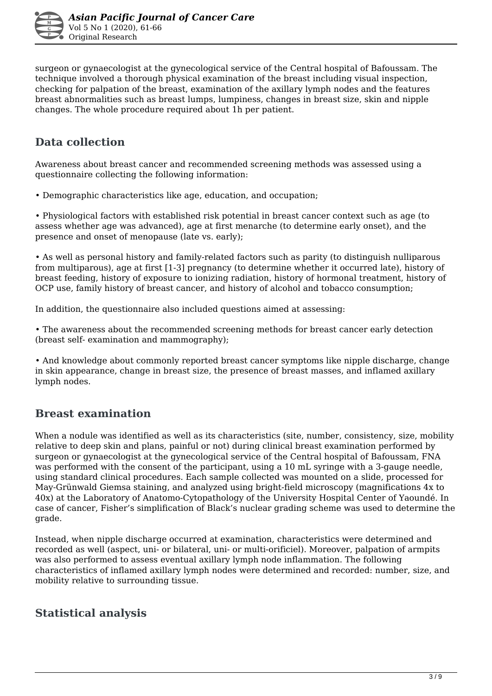surgeon or gynaecologist at the gynecological service of the Central hospital of Bafoussam. The technique involved a thorough physical examination of the breast including visual inspection, checking for palpation of the breast, examination of the axillary lymph nodes and the features breast abnormalities such as breast lumps, lumpiness, changes in breast size, skin and nipple changes. The whole procedure required about 1h per patient.

### **Data collection**

Awareness about breast cancer and recommended screening methods was assessed using a questionnaire collecting the following information:

• Demographic characteristics like age, education, and occupation;

• Physiological factors with established risk potential in breast cancer context such as age (to assess whether age was advanced), age at first menarche (to determine early onset), and the presence and onset of menopause (late vs. early);

• As well as personal history and family-related factors such as parity (to distinguish nulliparous from multiparous), age at first [1-3] pregnancy (to determine whether it occurred late), history of breast feeding, history of exposure to ionizing radiation, history of hormonal treatment, history of OCP use, family history of breast cancer, and history of alcohol and tobacco consumption;

In addition, the questionnaire also included questions aimed at assessing:

• The awareness about the recommended screening methods for breast cancer early detection (breast self- examination and mammography);

• And knowledge about commonly reported breast cancer symptoms like nipple discharge, change in skin appearance, change in breast size, the presence of breast masses, and inflamed axillary lymph nodes.

### **Breast examination**

When a nodule was identified as well as its characteristics (site, number, consistency, size, mobility relative to deep skin and plans, painful or not) during clinical breast examination performed by surgeon or gynaecologist at the gynecological service of the Central hospital of Bafoussam, FNA was performed with the consent of the participant, using a 10 mL syringe with a 3-gauge needle, using standard clinical procedures. Each sample collected was mounted on a slide, processed for May-Grünwald Giemsa staining, and analyzed using bright-field microscopy (magnifications 4x to 40x) at the Laboratory of Anatomo-Cytopathology of the University Hospital Center of Yaoundé. In case of cancer, Fisher's simplification of Black's nuclear grading scheme was used to determine the grade.

Instead, when nipple discharge occurred at examination, characteristics were determined and recorded as well (aspect, uni- or bilateral, uni- or multi-orificiel). Moreover, palpation of armpits was also performed to assess eventual axillary lymph node inflammation. The following characteristics of inflamed axillary lymph nodes were determined and recorded: number, size, and mobility relative to surrounding tissue.

### **Statistical analysis**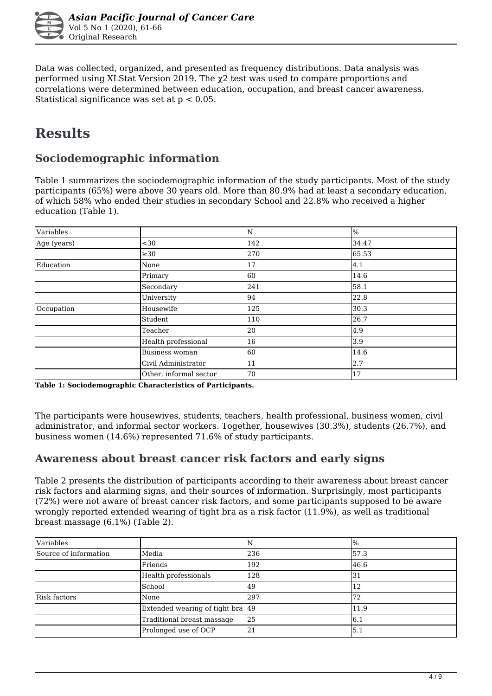

Data was collected, organized, and presented as frequency distributions. Data analysis was performed using XLStat Version 2019. The χ2 test was used to compare proportions and correlations were determined between education, occupation, and breast cancer awareness. Statistical significance was set at p < 0.05.

# **Results**

### **Sociodemographic information**

Table 1 summarizes the sociodemographic information of the study participants. Most of the study participants (65%) were above 30 years old. More than 80.9% had at least a secondary education, of which 58% who ended their studies in secondary School and 22.8% who received a higher education (Table 1).

| Variables   |                        | N   | %             |
|-------------|------------------------|-----|---------------|
| Age (years) | $30$                   | 142 | 34.47         |
|             | $\geq$ 30              | 270 | 65.53         |
| Education   | None                   | 17  | $ 4.1\rangle$ |
|             | Primary                | 60  | 14.6          |
|             | Secondary              | 241 | 58.1          |
|             | University             | 94  | 22.8          |
| Occupation  | Housewife              | 125 | 30.3          |
|             | Student                | 110 | 26.7          |
|             | Teacher                | 20  | 4.9           |
|             | Health professional    | 16  | 3.9           |
|             | <b>Business woman</b>  | 60  | 14.6          |
|             | Civil Administrator    | 11  | 2.7           |
|             | Other, informal sector | 70  | 17            |

**Table 1: Sociodemographic Characteristics of Participants.** 

The participants were housewives, students, teachers, health professional, business women, civil administrator, and informal sector workers. Together, housewives (30.3%), students (26.7%), and business women (14.6%) represented 71.6% of study participants.

#### **Awareness about breast cancer risk factors and early signs**

Table 2 presents the distribution of participants according to their awareness about breast cancer risk factors and alarming signs, and their sources of information. Surprisingly, most participants (72%) were not aware of breast cancer risk factors, and some participants supposed to be aware wrongly reported extended wearing of tight bra as a risk factor (11.9%), as well as traditional breast massage (6.1%) (Table 2).

| Variables             |                                   | N   | $\frac{9}{6}$ |
|-----------------------|-----------------------------------|-----|---------------|
| Source of information | Media                             | 236 | 57.3          |
|                       | Friends                           | 192 | 46.6          |
|                       | Health professionals              | 128 | 31            |
|                       | School                            | 49  | 12            |
| Risk factors          | None                              | 297 | 72            |
|                       | Extended wearing of tight bra  49 |     | 11.9          |
|                       | Traditional breast massage        | 25  | 6.1           |
|                       | Prolonged use of OCP              | 21  | 5.1           |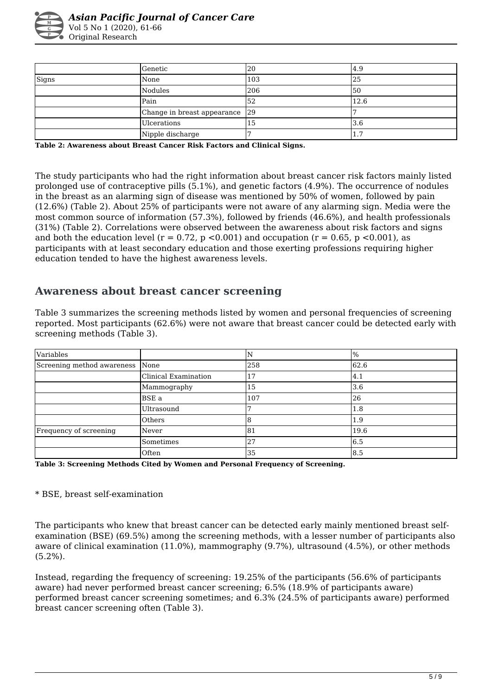

|       | <b>Genetic</b>                 | 20  | 4.9                   |
|-------|--------------------------------|-----|-----------------------|
| Signs | None                           | 103 | 25                    |
|       | Nodules                        | 206 | I50                   |
|       | Pain                           | 52  | 12.6                  |
|       | Change in breast appearance 29 |     |                       |
|       | Ulcerations                    | 15  | 13.6                  |
|       | Nipple discharge               |     | $\overline{ }$<br>1., |

**Table 2: Awareness about Breast Cancer Risk Factors and Clinical Signs.** 

The study participants who had the right information about breast cancer risk factors mainly listed prolonged use of contraceptive pills (5.1%), and genetic factors (4.9%). The occurrence of nodules in the breast as an alarming sign of disease was mentioned by 50% of women, followed by pain (12.6%) (Table 2). About 25% of participants were not aware of any alarming sign. Media were the most common source of information (57.3%), followed by friends (46.6%), and health professionals (31%) (Table 2). Correlations were observed between the awareness about risk factors and signs and both the education level ( $r = 0.72$ ,  $p < 0.001$ ) and occupation ( $r = 0.65$ ,  $p < 0.001$ ), as participants with at least secondary education and those exerting professions requiring higher education tended to have the highest awareness levels.

#### **Awareness about breast cancer screening**

Table 3 summarizes the screening methods listed by women and personal frequencies of screening reported. Most participants (62.6%) were not aware that breast cancer could be detected early with screening methods (Table 3).

| Variables                  |                      |     | $\frac{9}{6}$ |
|----------------------------|----------------------|-----|---------------|
| Screening method awareness | None                 | 258 | 62.6          |
|                            | Clinical Examination | 17  | 4.1           |
|                            | Mammography          | 15  | 3.6           |
|                            | <b>BSE</b> a         | 107 | 26            |
|                            | Ultrasound           |     | 1.8           |
|                            | Others               |     | 1.9           |
| Frequency of screening     | Never                | 81  | 19.6          |
|                            | Sometimes            | 27  | 6.5           |
|                            | Often                | 35  | 8.5           |

**Table 3: Screening Methods Cited by Women and Personal Frequency of Screening.** 

#### \* BSE, breast self-examination

The participants who knew that breast cancer can be detected early mainly mentioned breast selfexamination (BSE) (69.5%) among the screening methods, with a lesser number of participants also aware of clinical examination (11.0%), mammography (9.7%), ultrasound (4.5%), or other methods (5.2%).

Instead, regarding the frequency of screening: 19.25% of the participants (56.6% of participants aware) had never performed breast cancer screening; 6.5% (18.9% of participants aware) performed breast cancer screening sometimes; and 6.3% (24.5% of participants aware) performed breast cancer screening often (Table 3).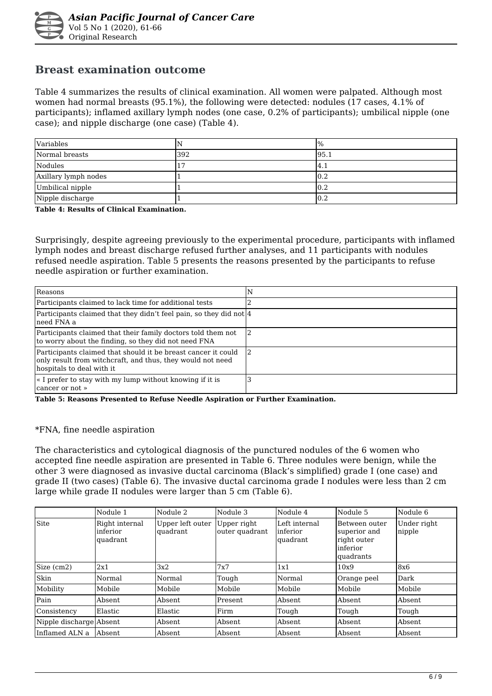

#### **Breast examination outcome**

Table 4 summarizes the results of clinical examination. All women were palpated. Although most women had normal breasts (95.1%), the following were detected: nodules (17 cases, 4.1% of participants); inflamed axillary lymph nodes (one case, 0.2% of participants); umbilical nipple (one case); and nipple discharge (one case) (Table 4).

| Variables            |     | $\frac{9}{6}$    |
|----------------------|-----|------------------|
| Normal breasts       | 392 | 195.1            |
| Nodules              |     | 14.1             |
| Axillary lymph nodes |     | 10.2             |
| Umbilical nipple     |     | $\overline{0.2}$ |
| Nipple discharge     |     | 10.2             |

**Table 4: Results of Clinical Examination.** 

Surprisingly, despite agreeing previously to the experimental procedure, participants with inflamed lymph nodes and breast discharge refused further analyses, and 11 participants with nodules refused needle aspiration. Table 5 presents the reasons presented by the participants to refuse needle aspiration or further examination.

| Reasons                                                                                                                                                  | N |
|----------------------------------------------------------------------------------------------------------------------------------------------------------|---|
| Participants claimed to lack time for additional tests                                                                                                   |   |
| Participants claimed that they didn't feel pain, so they did not 4<br>lneed FNA a                                                                        |   |
| Participants claimed that their family doctors told them not<br>to worry about the finding, so they did not need FNA                                     |   |
| Participants claimed that should it be breast cancer it could<br>only result from witchcraft, and thus, they would not need<br>hospitals to deal with it |   |
| . I prefer to stay with my lump without knowing if it is<br>cancer or not »                                                                              |   |

**Table 5: Reasons Presented to Refuse Needle Aspiration or Further Examination.** 

#### \*FNA, fine needle aspiration

The characteristics and cytological diagnosis of the punctured nodules of the 6 women who accepted fine needle aspiration are presented in Table 6. Three nodules were benign, while the other 3 were diagnosed as invasive ductal carcinoma (Black's simplified) grade I (one case) and grade II (two cases) (Table 6). The invasive ductal carcinoma grade I nodules were less than 2 cm large while grade II nodules were larger than 5 cm (Table 6).

|                         | Nodule 1                               | Nodule 2                     | Nodule 3                      | Nodule 4                               | Nodule 5                                                               | Nodule 6              |
|-------------------------|----------------------------------------|------------------------------|-------------------------------|----------------------------------------|------------------------------------------------------------------------|-----------------------|
| Site                    | Right internal<br>inferior<br>quadrant | Upper left outer<br>quadrant | Upper right<br>outer quadrant | Left internal<br>linferior<br>quadrant | Between outer<br>superior and<br>right outer<br>inferior<br>lquadrants | Under right<br>nipple |
| Size (cm2)              | 2x1                                    | 3x2                          | 7x7                           | 1x1                                    | 10x9                                                                   | 8x6                   |
| Skin                    | Normal                                 | Normal                       | Tough                         | Normal                                 | Orange peel                                                            | Dark                  |
| Mobility                | Mobile                                 | Mobile                       | Mobile                        | Mobile                                 | Mobile                                                                 | Mobile                |
| Pain                    | Absent                                 | Absent                       | Present                       | Absent                                 | Absent                                                                 | Absent                |
| Consistency             | Elastic                                | Elastic                      | Firm                          | Tough                                  | Tough                                                                  | Tough                 |
| Nipple discharge Absent |                                        | Absent                       | Absent                        | Absent                                 | Absent                                                                 | Absent                |
| Inflamed ALN a          | Absent                                 | Absent                       | Absent                        | Absent                                 | Absent                                                                 | Absent                |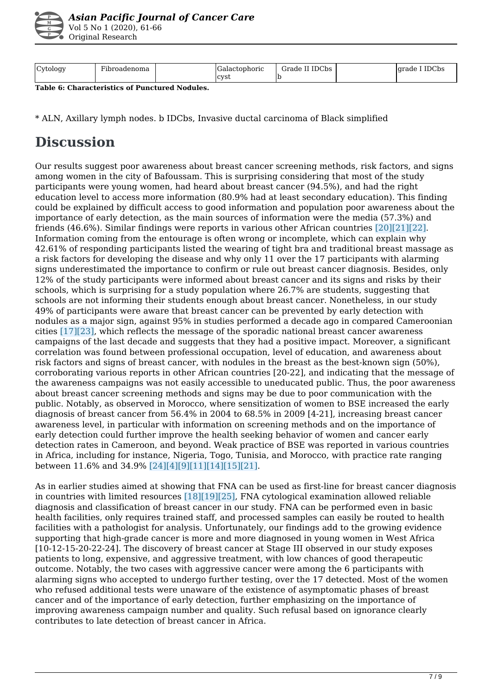

| Asian Pacific Journal of Cancer Care |  |  |
|--------------------------------------|--|--|
| Vol 5 No 1 (2020), 61-66             |  |  |
| Original Research                    |  |  |

| Cytology | $\overline{\phantom{a}}$<br>Hibroadenoma | uactophoric<br>$-1$ | II IDCbs<br>Grade | IDCbs<br>Igrade |
|----------|------------------------------------------|---------------------|-------------------|-----------------|
|          |                                          | Icvst               |                   |                 |

**Table 6: Characteristics of Punctured Nodules.** 

\* ALN, Axillary lymph nodes. b IDCbs, Invasive ductal carcinoma of Black simplified

# **Discussion**

Our results suggest poor awareness about breast cancer screening methods, risk factors, and signs among women in the city of Bafoussam. This is surprising considering that most of the study participants were young women, had heard about breast cancer (94.5%), and had the right education level to access more information (80.9% had at least secondary education). This finding could be explained by difficult access to good information and population poor awareness about the importance of early detection, as the main sources of information were the media (57.3%) and friends (46.6%). Similar findings were reports in various other African countries [20][21][22]. Information coming from the entourage is often wrong or incomplete, which can explain why 42.61% of responding participants listed the wearing of tight bra and traditional breast massage as a risk factors for developing the disease and why only 11 over the 17 participants with alarming signs underestimated the importance to confirm or rule out breast cancer diagnosis. Besides, only 12% of the study participants were informed about breast cancer and its signs and risks by their schools, which is surprising for a study population where 26.7% are students, suggesting that schools are not informing their students enough about breast cancer. Nonetheless, in our study 49% of participants were aware that breast cancer can be prevented by early detection with nodules as a major sign, against 95% in studies performed a decade ago in compared Cameroonian cities [17][23], which reflects the message of the sporadic national breast cancer awareness campaigns of the last decade and suggests that they had a positive impact. Moreover, a significant correlation was found between professional occupation, level of education, and awareness about risk factors and signs of breast cancer, with nodules in the breast as the best-known sign (50%), corroborating various reports in other African countries [20-22], and indicating that the message of the awareness campaigns was not easily accessible to uneducated public. Thus, the poor awareness about breast cancer screening methods and signs may be due to poor communication with the public. Notably, as observed in Morocco, where sensitization of women to BSE increased the early diagnosis of breast cancer from 56.4% in 2004 to 68.5% in 2009 [4-21], increasing breast cancer awareness level, in particular with information on screening methods and on the importance of early detection could further improve the health seeking behavior of women and cancer early detection rates in Cameroon, and beyond. Weak practice of BSE was reported in various countries in Africa, including for instance, Nigeria, Togo, Tunisia, and Morocco, with practice rate ranging between 11.6% and 34.9% [24][4][9][11][14][15][21].

As in earlier studies aimed at showing that FNA can be used as first-line for breast cancer diagnosis in countries with limited resources [18][19][25], FNA cytological examination allowed reliable diagnosis and classification of breast cancer in our study. FNA can be performed even in basic health facilities, only requires trained staff, and processed samples can easily be routed to health facilities with a pathologist for analysis. Unfortunately, our findings add to the growing evidence supporting that high-grade cancer is more and more diagnosed in young women in West Africa [10-12-15-20-22-24]. The discovery of breast cancer at Stage III observed in our study exposes patients to long, expensive, and aggressive treatment, with low chances of good therapeutic outcome. Notably, the two cases with aggressive cancer were among the 6 participants with alarming signs who accepted to undergo further testing, over the 17 detected. Most of the women who refused additional tests were unaware of the existence of asymptomatic phases of breast cancer and of the importance of early detection, further emphasizing on the importance of improving awareness campaign number and quality. Such refusal based on ignorance clearly contributes to late detection of breast cancer in Africa.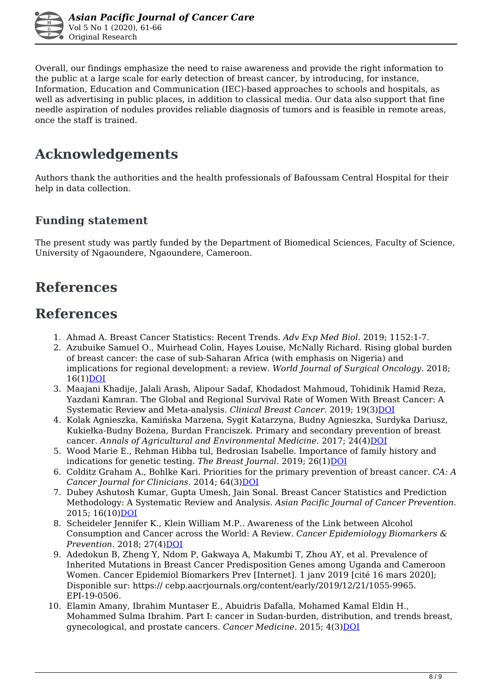

Overall, our findings emphasize the need to raise awareness and provide the right information to the public at a large scale for early detection of breast cancer, by introducing, for instance, Information, Education and Communication (IEC)-based approaches to schools and hospitals, as well as advertising in public places, in addition to classical media. Our data also support that fine needle aspiration of nodules provides reliable diagnosis of tumors and is feasible in remote areas, once the staff is trained.

# **Acknowledgements**

Authors thank the authorities and the health professionals of Bafoussam Central Hospital for their help in data collection.

#### **Funding statement**

The present study was partly funded by the Department of Biomedical Sciences, Faculty of Science, University of Ngaoundere, Ngaoundere, Cameroon.

## **References**

### **References**

- 1. Ahmad A. Breast Cancer Statistics: Recent Trends. *Adv Exp Med Biol.* 2019; 1152:1-7.
- 2. Azubuike Samuel O., Muirhead Colin, Hayes Louise, McNally Richard. Rising global burden of breast cancer: the case of sub-Saharan Africa (with emphasis on Nigeria) and implications for regional development: a review. *World Journal of Surgical Oncology.* 2018; 16(1)[DOI](https://doi.org/10.1186/s12957-018-1345-2)
- 3. Maajani Khadije, Jalali Arash, Alipour Sadaf, Khodadost Mahmoud, Tohidinik Hamid Reza, Yazdani Kamran. The Global and Regional Survival Rate of Women With Breast Cancer: A Systematic Review and Meta-analysis. *Clinical Breast Cancer*. 2019; 19(3)[DOI](https://doi.org/10.1016/j.clbc.2019.01.006)
- 4. Kolak Agnieszka, Kamińska Marzena, Sygit Katarzyna, Budny Agnieszka, Surdyka Dariusz, Kukiełka-Budny Bożena, Burdan Franciszek. Primary and secondary prevention of breast cancer. *Annals of Agricultural and Environmental Medicine.* 2017; 24(4[\)DOI](https://doi.org/10.26444/aaem/75943)
- 5. Wood Marie E., Rehman Hibba tul, Bedrosian Isabelle. Importance of family history and indications for genetic testing. *The Breast Journal.* 2019; 26(1)[DOI](https://doi.org/10.1111/tbj.13722)
- 6. Colditz Graham A., Bohlke Kari. Priorities for the primary prevention of breast cancer. *CA: A Cancer Journal for Clinicians.* 2014; 64(3) DOI
- 7. Dubey Ashutosh Kumar, Gupta Umesh, Jain Sonal. Breast Cancer Statistics and Prediction Methodology: A Systematic Review and Analysis. *Asian Pacific Journal of Cancer Prevention.* 2015; 16(10)[DOI](https://doi.org/10.7314/apjcp.2015.16.10.4237)
- 8. Scheideler Jennifer K., Klein William M.P.. Awareness of the Link between Alcohol Consumption and Cancer across the World: A Review. *Cancer Epidemiology Biomarkers & Prevention.* 2018; 27(4)*DOI*
- 9. Adedokun B, Zheng Y, Ndom P, Gakwaya A, Makumbi T, Zhou AY, et al. Prevalence of Inherited Mutations in Breast Cancer Predisposition Genes among Uganda and Cameroon Women. Cancer Epidemiol Biomarkers Prev [Internet]. 1 janv 2019 [cité 16 mars 2020]; Disponible sur: https:// cebp.aacrjournals.org/content/early/2019/12/21/1055-9965. EPI-19-0506.
- 10. Elamin Amany, Ibrahim Muntaser E., Abuidris Dafalla, Mohamed Kamal Eldin H., Mohammed Sulma Ibrahim. Part I: cancer in Sudan-burden, distribution, and trends breast, gynecological, and prostate cancers. *Cancer Medicine*. 2015; 4(3) DOI